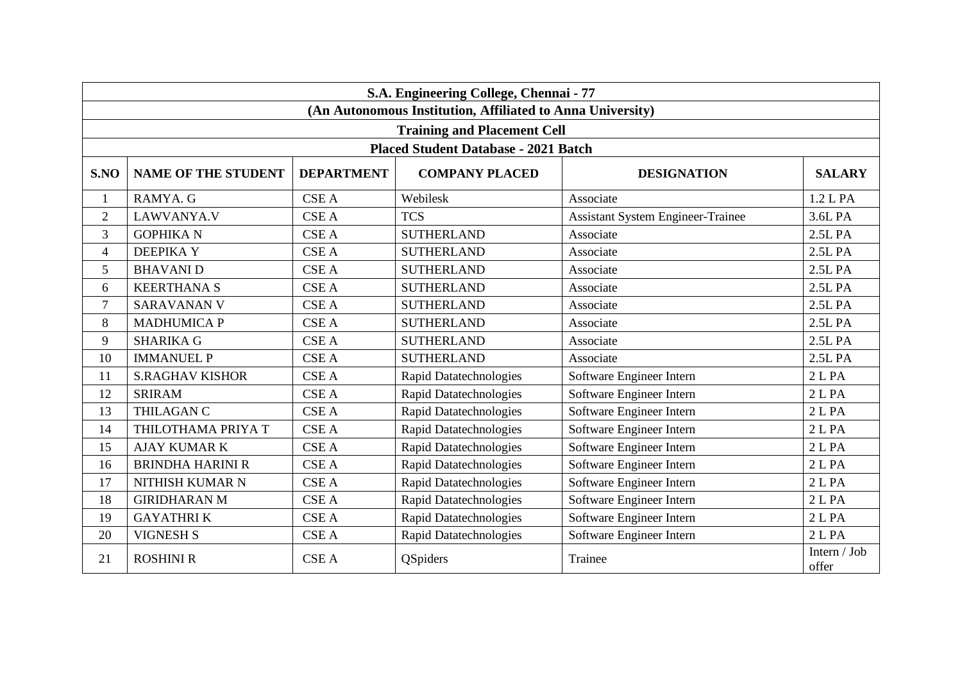|                | S.A. Engineering College, Chennai - 77                     |                   |                                             |                                          |                       |  |  |  |
|----------------|------------------------------------------------------------|-------------------|---------------------------------------------|------------------------------------------|-----------------------|--|--|--|
|                | (An Autonomous Institution, Affiliated to Anna University) |                   |                                             |                                          |                       |  |  |  |
|                |                                                            |                   | <b>Training and Placement Cell</b>          |                                          |                       |  |  |  |
|                |                                                            |                   | <b>Placed Student Database - 2021 Batch</b> |                                          |                       |  |  |  |
| S.NO           | <b>NAME OF THE STUDENT</b>                                 | <b>DEPARTMENT</b> | <b>COMPANY PLACED</b>                       | <b>DESIGNATION</b>                       | <b>SALARY</b>         |  |  |  |
| $\mathbf{1}$   | RAMYA. G                                                   | <b>CSE A</b>      | Webilesk                                    | Associate                                | 1.2 L PA              |  |  |  |
| $\overline{2}$ | LAWVANYA.V                                                 | <b>CSE A</b>      | <b>TCS</b>                                  | <b>Assistant System Engineer-Trainee</b> | 3.6L PA               |  |  |  |
| 3              | <b>GOPHIKA N</b>                                           | <b>CSE A</b>      | <b>SUTHERLAND</b>                           | Associate                                | 2.5L PA               |  |  |  |
| $\overline{4}$ | <b>DEEPIKAY</b>                                            | <b>CSE A</b>      | <b>SUTHERLAND</b>                           | Associate                                | 2.5L PA               |  |  |  |
| 5              | <b>BHAVANI D</b>                                           | <b>CSE A</b>      | <b>SUTHERLAND</b>                           | Associate                                | 2.5L PA               |  |  |  |
| 6              | <b>KEERTHANA S</b>                                         | <b>CSE A</b>      | <b>SUTHERLAND</b>                           | Associate                                | 2.5L PA               |  |  |  |
| $\tau$         | <b>SARAVANAN V</b>                                         | <b>CSE A</b>      | <b>SUTHERLAND</b>                           | Associate                                | 2.5L PA               |  |  |  |
| 8              | <b>MADHUMICA P</b>                                         | <b>CSE A</b>      | <b>SUTHERLAND</b>                           | Associate                                | 2.5L PA               |  |  |  |
| 9              | <b>SHARIKA G</b>                                           | <b>CSE A</b>      | <b>SUTHERLAND</b>                           | Associate                                | 2.5L PA               |  |  |  |
| 10             | <b>IMMANUEL P</b>                                          | <b>CSE A</b>      | <b>SUTHERLAND</b>                           | Associate                                | 2.5L PA               |  |  |  |
| 11             | <b>S.RAGHAV KISHOR</b>                                     | <b>CSE A</b>      | Rapid Datatechnologies                      | Software Engineer Intern                 | 2 <sub>L</sub> PA     |  |  |  |
| 12             | <b>SRIRAM</b>                                              | <b>CSE A</b>      | <b>Rapid Datatechnologies</b>               | Software Engineer Intern                 | 2 <sub>L</sub> PA     |  |  |  |
| 13             | THILAGAN C                                                 | <b>CSE A</b>      | <b>Rapid Datatechnologies</b>               | Software Engineer Intern                 | 2 L PA                |  |  |  |
| 14             | THILOTHAMA PRIYA T                                         | <b>CSE A</b>      | <b>Rapid Datatechnologies</b>               | Software Engineer Intern                 | 2 L PA                |  |  |  |
| 15             | <b>AJAY KUMAR K</b>                                        | <b>CSE A</b>      | <b>Rapid Datatechnologies</b>               | Software Engineer Intern                 | 2 <sub>L</sub> PA     |  |  |  |
| 16             | <b>BRINDHA HARINI R</b>                                    | <b>CSE A</b>      | Rapid Datatechnologies                      | Software Engineer Intern                 | 2 L PA                |  |  |  |
| 17             | NITHISH KUMAR N                                            | <b>CSE A</b>      | <b>Rapid Datatechnologies</b>               | Software Engineer Intern                 | 2 <sub>L</sub> PA     |  |  |  |
| 18             | <b>GIRIDHARAN M</b>                                        | <b>CSE A</b>      | <b>Rapid Datatechnologies</b>               | Software Engineer Intern                 | 2 L PA                |  |  |  |
| 19             | <b>GAYATHRIK</b>                                           | <b>CSE A</b>      | Rapid Datatechnologies                      | Software Engineer Intern                 | 2 L PA                |  |  |  |
| 20             | <b>VIGNESH S</b>                                           | <b>CSE A</b>      | <b>Rapid Datatechnologies</b>               | Software Engineer Intern                 | 2 <sub>L</sub> PA     |  |  |  |
| 21             | <b>ROSHINI R</b>                                           | <b>CSE A</b>      | <b>QSpiders</b>                             | Trainee                                  | Intern / Job<br>offer |  |  |  |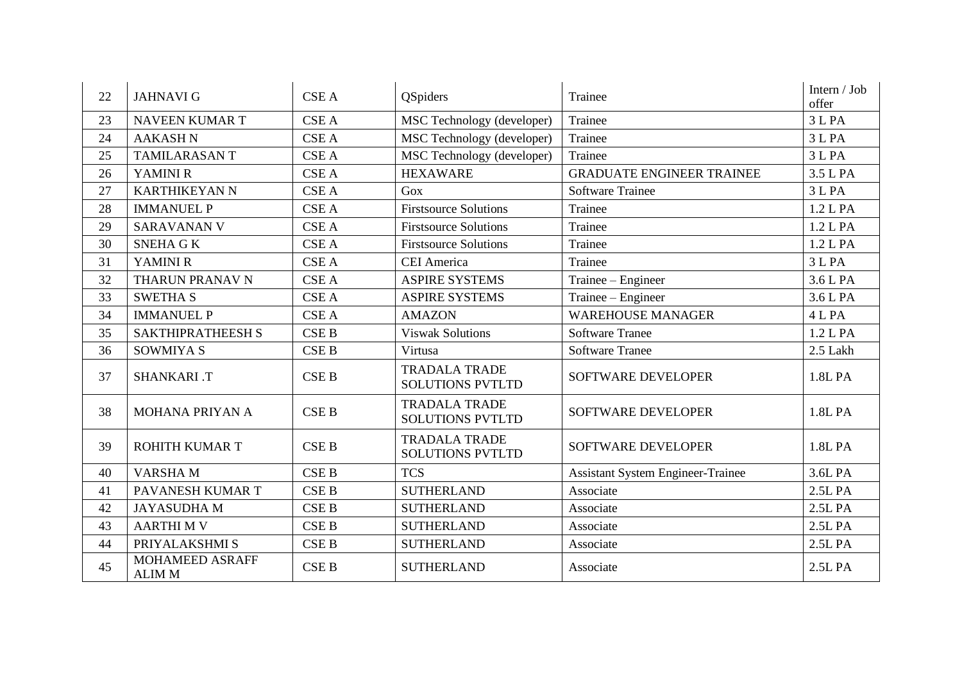| 22 | <b>JAHNAVI G</b>                        | <b>CSE A</b>     | <b>QSpiders</b>                                 | Trainee                                  | Intern / Job<br>offer |
|----|-----------------------------------------|------------------|-------------------------------------------------|------------------------------------------|-----------------------|
| 23 | <b>NAVEEN KUMAR T</b>                   | <b>CSE A</b>     | MSC Technology (developer)                      | Trainee                                  | 3 L PA                |
| 24 | <b>AAKASH N</b>                         | <b>CSE A</b>     | MSC Technology (developer)                      | Trainee                                  | 3 L PA                |
| 25 | <b>TAMILARASANT</b>                     | <b>CSE A</b>     | MSC Technology (developer)                      | Trainee                                  | 3 L PA                |
| 26 | YAMINI R                                | <b>CSE A</b>     | <b>HEXAWARE</b>                                 | <b>GRADUATE ENGINEER TRAINEE</b>         | 3.5 L PA              |
| 27 | <b>KARTHIKEYAN N</b>                    | <b>CSE A</b>     | Gox                                             | <b>Software Trainee</b>                  | 3 L PA                |
| 28 | <b>IMMANUEL P</b>                       | <b>CSE A</b>     | <b>Firstsource Solutions</b>                    | Trainee                                  | 1.2 L PA              |
| 29 | <b>SARAVANAN V</b>                      | <b>CSE A</b>     | <b>Firstsource Solutions</b>                    | Trainee                                  | 1.2 L PA              |
| 30 | <b>SNEHA GK</b>                         | <b>CSE A</b>     | <b>Firstsource Solutions</b>                    | Trainee                                  | 1.2 L PA              |
| 31 | YAMINI R                                | <b>CSE A</b>     | <b>CEI</b> America                              | Trainee                                  | 3 L PA                |
| 32 | THARUN PRANAV N                         | <b>CSE A</b>     | <b>ASPIRE SYSTEMS</b>                           | Trainee – Engineer                       | 3.6 L PA              |
| 33 | <b>SWETHA S</b>                         | <b>CSE A</b>     | <b>ASPIRE SYSTEMS</b>                           | Trainee – Engineer                       | 3.6 L PA              |
| 34 | <b>IMMANUEL P</b>                       | <b>CSE A</b>     | <b>AMAZON</b>                                   | <b>WAREHOUSE MANAGER</b>                 | 4 L PA                |
| 35 | <b>SAKTHIPRATHEESH S</b>                | <b>CSE B</b>     | <b>Viswak Solutions</b>                         | <b>Software Tranee</b>                   | 1.2 L PA              |
| 36 | <b>SOWMIYA S</b>                        | <b>CSE B</b>     | Virtusa                                         | <b>Software Tranee</b>                   | 2.5 Lakh              |
| 37 | <b>SHANKARI .T</b>                      | CSE <sub>B</sub> | <b>TRADALA TRADE</b><br><b>SOLUTIONS PVTLTD</b> | SOFTWARE DEVELOPER                       | 1.8L PA               |
| 38 | MOHANA PRIYAN A                         | <b>CSE B</b>     | <b>TRADALA TRADE</b><br><b>SOLUTIONS PVTLTD</b> | SOFTWARE DEVELOPER                       | 1.8L PA               |
| 39 | ROHITH KUMAR T                          | <b>CSE B</b>     | <b>TRADALA TRADE</b><br><b>SOLUTIONS PVTLTD</b> | <b>SOFTWARE DEVELOPER</b>                | 1.8L PA               |
| 40 | <b>VARSHAM</b>                          | <b>CSE B</b>     | <b>TCS</b>                                      | <b>Assistant System Engineer-Trainee</b> | 3.6L PA               |
| 41 | PAVANESH KUMAR T                        | <b>CSE B</b>     | <b>SUTHERLAND</b>                               | Associate                                | 2.5L PA               |
| 42 | <b>JAYASUDHAM</b>                       | <b>CSE B</b>     | <b>SUTHERLAND</b>                               | Associate                                | 2.5L PA               |
| 43 | <b>AARTHIMV</b>                         | <b>CSE B</b>     | <b>SUTHERLAND</b>                               | Associate                                | 2.5L PA               |
| 44 | PRIYALAKSHMI S                          | <b>CSE B</b>     | <b>SUTHERLAND</b>                               | Associate                                | 2.5L PA               |
| 45 | <b>MOHAMEED ASRAFF</b><br><b>ALIM M</b> | <b>CSE B</b>     | <b>SUTHERLAND</b>                               | Associate                                | 2.5L PA               |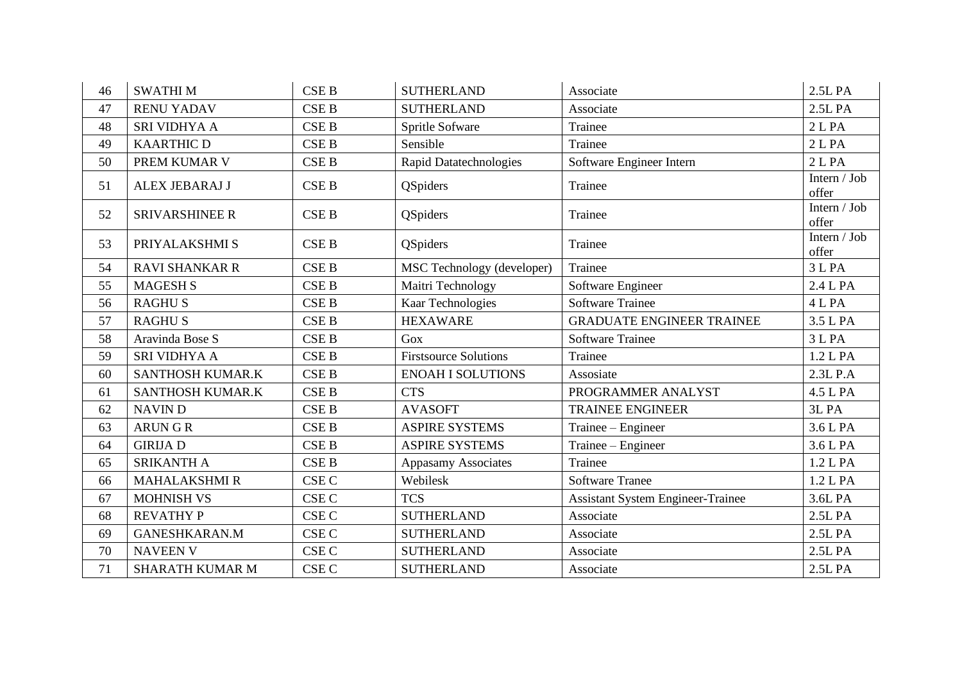| 46 | <b>SWATHIM</b>          | <b>CSE B</b>     | <b>SUTHERLAND</b>             | Associate                                | 2.5L PA               |
|----|-------------------------|------------------|-------------------------------|------------------------------------------|-----------------------|
| 47 | <b>RENU YADAV</b>       | <b>CSE B</b>     | <b>SUTHERLAND</b>             | Associate                                | 2.5L PA               |
| 48 | SRI VIDHYA A            | <b>CSE B</b>     | Spritle Sofware               | Trainee                                  | 2 <sub>L</sub> PA     |
| 49 | <b>KAARTHIC D</b>       | <b>CSE B</b>     | Sensible                      | Trainee                                  | 2 <sub>L</sub> PA     |
| 50 | PREM KUMAR V            | <b>CSE B</b>     | <b>Rapid Datatechnologies</b> | Software Engineer Intern                 | 2 <sub>L</sub> PA     |
| 51 | ALEX JEBARAJ J          | <b>CSE B</b>     | QSpiders                      | Trainee                                  | Intern / Job<br>offer |
| 52 | <b>SRIVARSHINEE R</b>   | <b>CSE B</b>     | QSpiders                      | Trainee                                  | Intern / Job<br>offer |
| 53 | PRIYALAKSHMI S          | <b>CSE B</b>     | <b>QSpiders</b>               | Trainee                                  | Intern / Job<br>offer |
| 54 | <b>RAVI SHANKAR R</b>   | <b>CSE B</b>     | MSC Technology (developer)    | Trainee                                  | 3 L PA                |
| 55 | <b>MAGESH S</b>         | <b>CSE B</b>     | Maitri Technology             | Software Engineer                        | 2.4 L PA              |
| 56 | <b>RAGHUS</b>           | <b>CSE B</b>     | Kaar Technologies             | <b>Software Trainee</b>                  | 4 L PA                |
| 57 | <b>RAGHUS</b>           | <b>CSE B</b>     | <b>HEXAWARE</b>               | <b>GRADUATE ENGINEER TRAINEE</b>         | 3.5 L PA              |
| 58 | Aravinda Bose S         | <b>CSE B</b>     | Gox                           | <b>Software Trainee</b>                  | 3 L PA                |
| 59 | SRI VIDHYA A            | <b>CSE B</b>     | <b>Firstsource Solutions</b>  | Trainee                                  | 1.2 L PA              |
| 60 | <b>SANTHOSH KUMAR.K</b> | <b>CSE B</b>     | <b>ENOAH I SOLUTIONS</b>      | Assosiate                                | 2.3L P.A              |
| 61 | SANTHOSH KUMAR.K        | <b>CSE B</b>     | <b>CTS</b>                    | PROGRAMMER ANALYST                       | 4.5 L PA              |
| 62 | <b>NAVIND</b>           | <b>CSE B</b>     | <b>AVASOFT</b>                | <b>TRAINEE ENGINEER</b>                  | 3L PA                 |
| 63 | <b>ARUNGR</b>           | <b>CSE B</b>     | <b>ASPIRE SYSTEMS</b>         | Trainee – Engineer                       | 3.6 L PA              |
| 64 | <b>GIRIJA D</b>         | <b>CSE B</b>     | <b>ASPIRE SYSTEMS</b>         | Trainee – Engineer                       | 3.6 L PA              |
| 65 | <b>SRIKANTH A</b>       | <b>CSE B</b>     | <b>Appasamy Associates</b>    | Trainee                                  | 1.2 L PA              |
| 66 | <b>MAHALAKSHMI R</b>    | <b>CSE C</b>     | Webilesk                      | <b>Software Tranee</b>                   | 1.2 L PA              |
| 67 | <b>MOHNISH VS</b>       | CSE <sub>C</sub> | <b>TCS</b>                    | <b>Assistant System Engineer-Trainee</b> | 3.6L PA               |
| 68 | <b>REVATHY P</b>        | CSE <sub>C</sub> | <b>SUTHERLAND</b>             | Associate                                | 2.5L PA               |
| 69 | <b>GANESHKARAN.M</b>    | CSE <sub>C</sub> | <b>SUTHERLAND</b>             | Associate                                | 2.5L PA               |
| 70 | <b>NAVEEN V</b>         | CSE <sub>C</sub> | <b>SUTHERLAND</b>             | Associate                                | 2.5L PA               |
| 71 | <b>SHARATH KUMAR M</b>  | CSE C            | <b>SUTHERLAND</b>             | Associate                                | 2.5L PA               |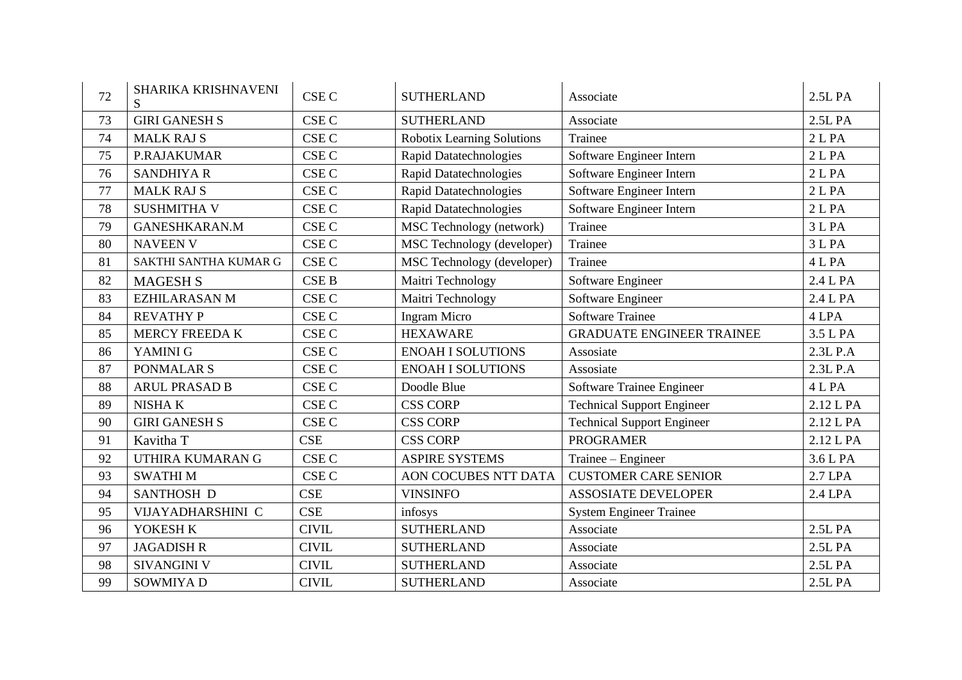| 72 | <b>SHARIKA KRISHNAVENI</b><br>S | CSE <sub>C</sub> | <b>SUTHERLAND</b>                 | Associate                         | 2.5L PA           |
|----|---------------------------------|------------------|-----------------------------------|-----------------------------------|-------------------|
| 73 | <b>GIRI GANESH S</b>            | CSE <sub>C</sub> | <b>SUTHERLAND</b>                 | Associate                         | 2.5L PA           |
| 74 | <b>MALK RAJ S</b>               | <b>CSE C</b>     | <b>Robotix Learning Solutions</b> | Trainee                           | 2 <sub>L</sub> PA |
| 75 | <b>P.RAJAKUMAR</b>              | CSE <sub>C</sub> | <b>Rapid Datatechnologies</b>     | Software Engineer Intern          | 2 <sub>L</sub> PA |
| 76 | <b>SANDHIYA R</b>               | CSE <sub>C</sub> | <b>Rapid Datatechnologies</b>     | Software Engineer Intern          | 2 <sub>L</sub> PA |
| 77 | <b>MALK RAJ S</b>               | CSE <sub>C</sub> | <b>Rapid Datatechnologies</b>     | Software Engineer Intern          | 2 <sub>L</sub> PA |
| 78 | <b>SUSHMITHA V</b>              | CSE <sub>C</sub> | Rapid Datatechnologies            | Software Engineer Intern          | 2 L PA            |
| 79 | GANESHKARAN.M                   | <b>CSE C</b>     | MSC Technology (network)          | Trainee                           | 3 L PA            |
| 80 | <b>NAVEEN V</b>                 | CSE <sub>C</sub> | MSC Technology (developer)        | Trainee                           | 3 L PA            |
| 81 | SAKTHI SANTHA KUMAR G           | <b>CSE C</b>     | MSC Technology (developer)        | Trainee                           | 4 L PA            |
| 82 | <b>MAGESH S</b>                 | <b>CSE B</b>     | Maitri Technology                 | Software Engineer                 | 2.4 L PA          |
| 83 | <b>EZHILARASAN M</b>            | CSE <sub>C</sub> | Maitri Technology                 | Software Engineer                 | 2.4 L PA          |
| 84 | <b>REVATHY P</b>                | CSE <sub>C</sub> | <b>Ingram Micro</b>               | <b>Software Trainee</b>           | 4 LPA             |
| 85 | MERCY FREEDA K                  | CSE <sub>C</sub> | <b>HEXAWARE</b>                   | <b>GRADUATE ENGINEER TRAINEE</b>  | 3.5 L PA          |
| 86 | YAMINI G                        | CSE <sub>C</sub> | <b>ENOAH I SOLUTIONS</b>          | Assosiate                         | 2.3L P.A          |
| 87 | PONMALAR <sub>S</sub>           | <b>CSE C</b>     | <b>ENOAH I SOLUTIONS</b>          | Assosiate                         | $2.3L$ P.A        |
| 88 | <b>ARUL PRASAD B</b>            | CSE <sub>C</sub> | Doodle Blue                       | Software Trainee Engineer         | 4 L PA            |
| 89 | <b>NISHAK</b>                   | <b>CSE C</b>     | <b>CSS CORP</b>                   | <b>Technical Support Engineer</b> | 2.12 L PA         |
| 90 | <b>GIRI GANESH S</b>            | CSE <sub>C</sub> | <b>CSS CORP</b>                   | <b>Technical Support Engineer</b> | 2.12 L PA         |
| 91 | Kavitha T                       | <b>CSE</b>       | <b>CSS CORP</b>                   | <b>PROGRAMER</b>                  | 2.12 L PA         |
| 92 | UTHIRA KUMARAN G                | CSE <sub>C</sub> | <b>ASPIRE SYSTEMS</b>             | Trainee – Engineer                | 3.6 L PA          |
| 93 | <b>SWATHIM</b>                  | CSE <sub>C</sub> | AON COCUBES NTT DATA              | <b>CUSTOMER CARE SENIOR</b>       | 2.7 LPA           |
| 94 | <b>SANTHOSH D</b>               | <b>CSE</b>       | <b>VINSINFO</b>                   | <b>ASSOSIATE DEVELOPER</b>        | 2.4 LPA           |
| 95 | VIJAYADHARSHINI C               | <b>CSE</b>       | infosys                           | <b>System Engineer Trainee</b>    |                   |
| 96 | YOKESH K                        | <b>CIVIL</b>     | <b>SUTHERLAND</b>                 | Associate                         | 2.5L PA           |
| 97 | <b>JAGADISH R</b>               | <b>CIVIL</b>     | <b>SUTHERLAND</b>                 | Associate                         | 2.5L PA           |
| 98 | <b>SIVANGINI V</b>              | <b>CIVIL</b>     | <b>SUTHERLAND</b>                 | Associate                         | 2.5L PA           |
| 99 | <b>SOWMIYA D</b>                | <b>CIVIL</b>     | <b>SUTHERLAND</b>                 | Associate                         | 2.5L PA           |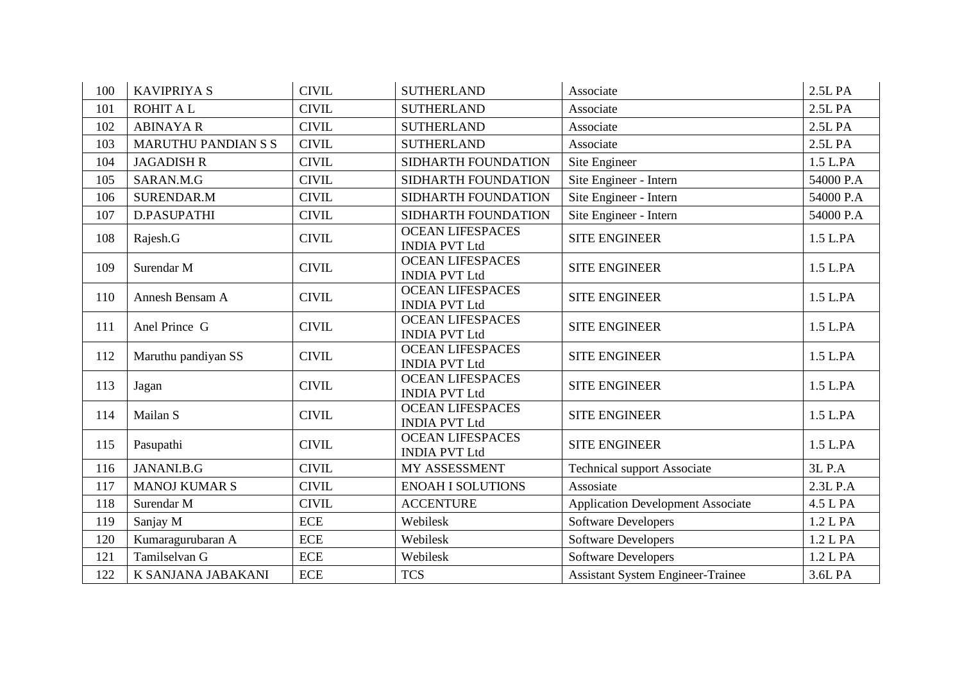| 100 | <b>KAVIPRIYA S</b>         | <b>CIVIL</b> | <b>SUTHERLAND</b>                               | Associate                                | 2.5L PA   |
|-----|----------------------------|--------------|-------------------------------------------------|------------------------------------------|-----------|
| 101 | <b>ROHIT A L</b>           | <b>CIVIL</b> | <b>SUTHERLAND</b>                               | Associate                                | 2.5L PA   |
| 102 | <b>ABINAYA R</b>           | <b>CIVIL</b> | <b>SUTHERLAND</b>                               | Associate                                | 2.5L PA   |
| 103 | <b>MARUTHU PANDIAN S S</b> | <b>CIVIL</b> | <b>SUTHERLAND</b>                               | Associate                                | 2.5L PA   |
| 104 | <b>JAGADISH R</b>          | <b>CIVIL</b> | SIDHARTH FOUNDATION                             | Site Engineer                            | 1.5 L.PA  |
| 105 | SARAN.M.G                  | <b>CIVIL</b> | SIDHARTH FOUNDATION                             | Site Engineer - Intern                   | 54000 P.A |
| 106 | <b>SURENDAR.M</b>          | <b>CIVIL</b> | SIDHARTH FOUNDATION                             | Site Engineer - Intern                   | 54000 P.A |
| 107 | D.PASUPATHI                | <b>CIVIL</b> | SIDHARTH FOUNDATION                             | Site Engineer - Intern                   | 54000 P.A |
| 108 | Rajesh.G                   | <b>CIVIL</b> | <b>OCEAN LIFESPACES</b><br><b>INDIA PVT Ltd</b> | <b>SITE ENGINEER</b>                     | 1.5 L.PA  |
| 109 | Surendar M                 | <b>CIVIL</b> | <b>OCEAN LIFESPACES</b><br><b>INDIA PVT Ltd</b> | <b>SITE ENGINEER</b>                     | 1.5 L.PA  |
| 110 | Annesh Bensam A            | <b>CIVIL</b> | <b>OCEAN LIFESPACES</b><br><b>INDIA PVT Ltd</b> | <b>SITE ENGINEER</b>                     | 1.5 L.PA  |
| 111 | Anel Prince G              | <b>CIVIL</b> | <b>OCEAN LIFESPACES</b><br><b>INDIA PVT Ltd</b> | <b>SITE ENGINEER</b>                     | 1.5 L.PA  |
| 112 | Maruthu pandiyan SS        | <b>CIVIL</b> | <b>OCEAN LIFESPACES</b><br><b>INDIA PVT Ltd</b> | <b>SITE ENGINEER</b>                     | 1.5 L.PA  |
| 113 | Jagan                      | <b>CIVIL</b> | <b>OCEAN LIFESPACES</b><br><b>INDIA PVT Ltd</b> | <b>SITE ENGINEER</b>                     | 1.5 L.PA  |
| 114 | Mailan S                   | <b>CIVIL</b> | <b>OCEAN LIFESPACES</b><br><b>INDIA PVT Ltd</b> | <b>SITE ENGINEER</b>                     | 1.5 L.PA  |
| 115 | Pasupathi                  | <b>CIVIL</b> | <b>OCEAN LIFESPACES</b><br><b>INDIA PVT Ltd</b> | <b>SITE ENGINEER</b>                     | 1.5 L.PA  |
| 116 | JANANI.B.G                 | <b>CIVIL</b> | MY ASSESSMENT                                   | <b>Technical support Associate</b>       | 3L P.A    |
| 117 | <b>MANOJ KUMAR S</b>       | <b>CIVIL</b> | <b>ENOAH I SOLUTIONS</b>                        | Assosiate                                | 2.3L P.A  |
| 118 | Surendar M                 | <b>CIVIL</b> | <b>ACCENTURE</b>                                | <b>Application Development Associate</b> | 4.5 L PA  |
| 119 | Sanjay M                   | <b>ECE</b>   | Webilesk                                        | <b>Software Developers</b>               | 1.2 L PA  |
| 120 | Kumaragurubaran A          | ECE          | Webilesk                                        | Software Developers                      | 1.2 L PA  |
| 121 | Tamilselvan G              | ECE          | Webilesk                                        | <b>Software Developers</b>               | 1.2 L PA  |
| 122 | K SANJANA JABAKANI         | <b>ECE</b>   | <b>TCS</b>                                      | <b>Assistant System Engineer-Trainee</b> | 3.6L PA   |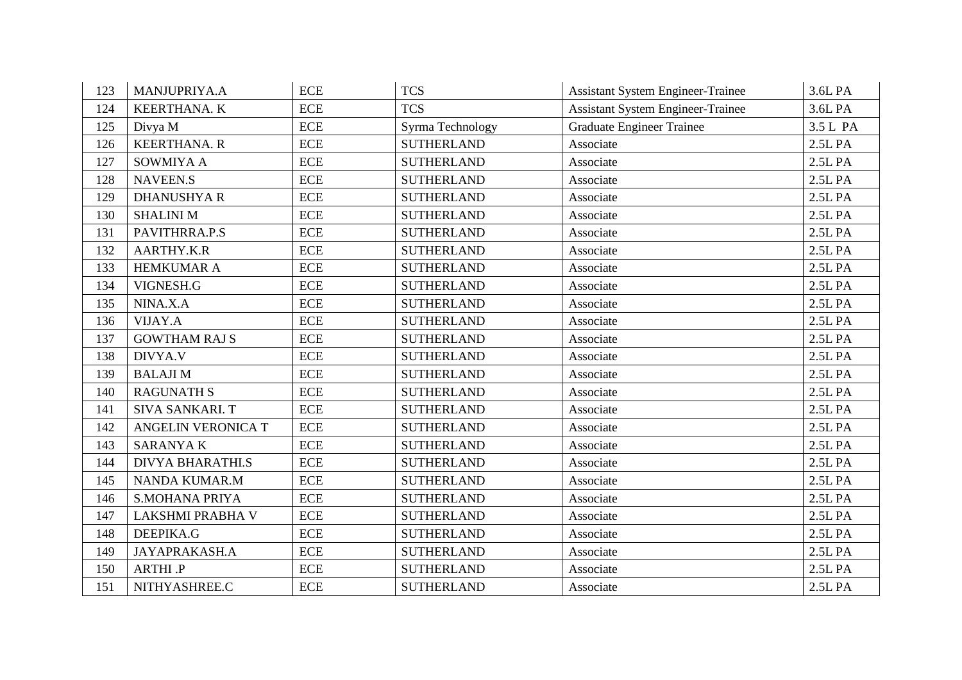| 123 | MANJUPRIYA.A            | <b>ECE</b> | <b>TCS</b>        | <b>Assistant System Engineer-Trainee</b> | 3.6L PA  |
|-----|-------------------------|------------|-------------------|------------------------------------------|----------|
| 124 | KEERTHANA. K            | <b>ECE</b> | <b>TCS</b>        | <b>Assistant System Engineer-Trainee</b> | 3.6L PA  |
| 125 | Divya M                 | <b>ECE</b> | Syrma Technology  | <b>Graduate Engineer Trainee</b>         | 3.5 L PA |
| 126 | <b>KEERTHANA. R</b>     | <b>ECE</b> | <b>SUTHERLAND</b> | Associate                                | 2.5L PA  |
| 127 | SOWMIYA A               | <b>ECE</b> | <b>SUTHERLAND</b> | Associate                                | 2.5L PA  |
| 128 | <b>NAVEEN.S</b>         | <b>ECE</b> | <b>SUTHERLAND</b> | Associate                                | 2.5L PA  |
| 129 | <b>DHANUSHYA R</b>      | <b>ECE</b> | <b>SUTHERLAND</b> | Associate                                | 2.5L PA  |
| 130 | <b>SHALINI M</b>        | <b>ECE</b> | <b>SUTHERLAND</b> | Associate                                | 2.5L PA  |
| 131 | PAVITHRRA.P.S           | ECE        | <b>SUTHERLAND</b> | Associate                                | 2.5L PA  |
| 132 | AARTHY.K.R              | <b>ECE</b> | <b>SUTHERLAND</b> | Associate                                | 2.5L PA  |
| 133 | <b>HEMKUMAR A</b>       | <b>ECE</b> | <b>SUTHERLAND</b> | Associate                                | 2.5L PA  |
| 134 | VIGNESH.G               | <b>ECE</b> | <b>SUTHERLAND</b> | Associate                                | 2.5L PA  |
| 135 | NINA.X.A                | <b>ECE</b> | <b>SUTHERLAND</b> | Associate                                | 2.5L PA  |
| 136 | VIJAY.A                 | <b>ECE</b> | <b>SUTHERLAND</b> | Associate                                | 2.5L PA  |
| 137 | <b>GOWTHAM RAJ S</b>    | <b>ECE</b> | <b>SUTHERLAND</b> | Associate                                | 2.5L PA  |
| 138 | DIVYA.V                 | <b>ECE</b> | <b>SUTHERLAND</b> | Associate                                | 2.5L PA  |
| 139 | <b>BALAJIM</b>          | <b>ECE</b> | <b>SUTHERLAND</b> | Associate                                | 2.5L PA  |
| 140 | <b>RAGUNATH S</b>       | <b>ECE</b> | <b>SUTHERLAND</b> | Associate                                | 2.5L PA  |
| 141 | SIVA SANKARI. T         | <b>ECE</b> | <b>SUTHERLAND</b> | Associate                                | 2.5L PA  |
| 142 | ANGELIN VERONICA T      | ECE        | <b>SUTHERLAND</b> | Associate                                | 2.5L PA  |
| 143 | <b>SARANYAK</b>         | ECE        | <b>SUTHERLAND</b> | Associate                                | 2.5L PA  |
| 144 | <b>DIVYA BHARATHI.S</b> | <b>ECE</b> | <b>SUTHERLAND</b> | Associate                                | 2.5L PA  |
| 145 | <b>NANDA KUMAR.M</b>    | <b>ECE</b> | <b>SUTHERLAND</b> | Associate                                | 2.5L PA  |
| 146 | <b>S.MOHANA PRIYA</b>   | <b>ECE</b> | <b>SUTHERLAND</b> | Associate                                | 2.5L PA  |
| 147 | <b>LAKSHMI PRABHA V</b> | <b>ECE</b> | <b>SUTHERLAND</b> | Associate                                | 2.5L PA  |
| 148 | DEEPIKA.G               | <b>ECE</b> | <b>SUTHERLAND</b> | Associate                                | 2.5L PA  |
| 149 | <b>JAYAPRAKASH.A</b>    | <b>ECE</b> | <b>SUTHERLAND</b> | Associate                                | 2.5L PA  |
| 150 | ARTHI .P                | <b>ECE</b> | <b>SUTHERLAND</b> | Associate                                | 2.5L PA  |
| 151 | NITHYASHREE.C           | <b>ECE</b> | <b>SUTHERLAND</b> | Associate                                | 2.5L PA  |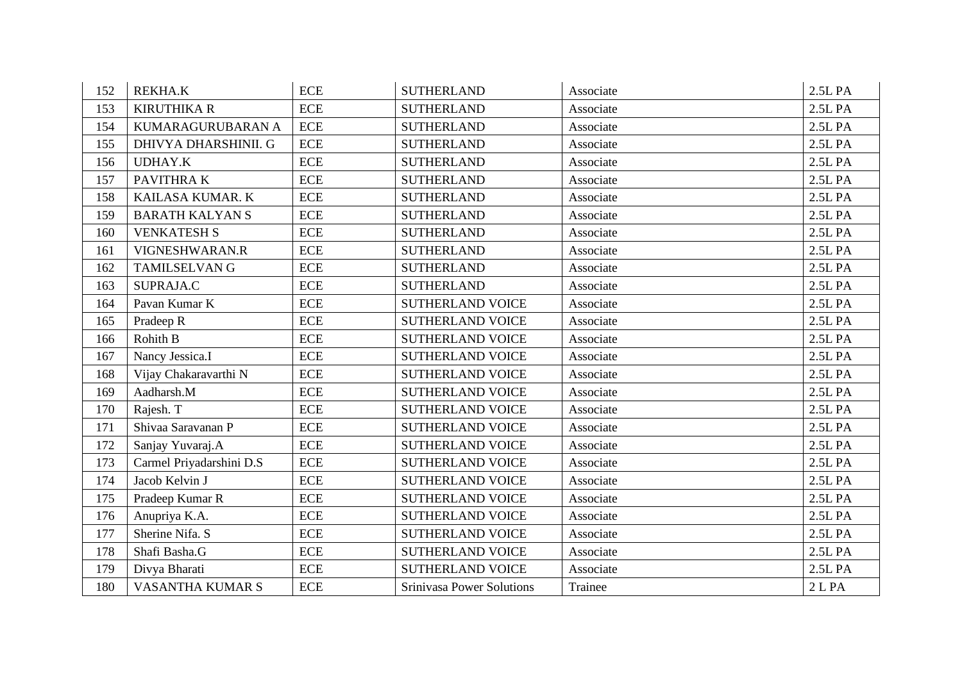| 152 | <b>REKHA.K</b>           | <b>ECE</b>                | <b>SUTHERLAND</b>                | Associate | 2.5L PA |
|-----|--------------------------|---------------------------|----------------------------------|-----------|---------|
| 153 | <b>KIRUTHIKA R</b>       | <b>ECE</b>                | <b>SUTHERLAND</b>                | Associate | 2.5L PA |
| 154 | KUMARAGURUBARAN A        | <b>ECE</b>                | <b>SUTHERLAND</b>                | Associate | 2.5L PA |
| 155 | DHIVYA DHARSHINII. G     | <b>ECE</b>                | <b>SUTHERLAND</b>                | Associate | 2.5L PA |
| 156 | <b>UDHAY.K</b>           | <b>ECE</b>                | <b>SUTHERLAND</b>                | Associate | 2.5L PA |
| 157 | PAVITHRA K               | <b>ECE</b>                | <b>SUTHERLAND</b>                | Associate | 2.5L PA |
| 158 | KAILASA KUMAR. K         | <b>ECE</b>                | <b>SUTHERLAND</b>                | Associate | 2.5L PA |
| 159 | <b>BARATH KALYANS</b>    | <b>ECE</b>                | <b>SUTHERLAND</b>                | Associate | 2.5L PA |
| 160 | <b>VENKATESH S</b>       | <b>ECE</b>                | <b>SUTHERLAND</b>                | Associate | 2.5L PA |
| 161 | VIGNESHWARAN.R           | $\rm ECE$                 | <b>SUTHERLAND</b>                | Associate | 2.5L PA |
| 162 | <b>TAMILSELVAN G</b>     | $\rm ECE$                 | <b>SUTHERLAND</b>                | Associate | 2.5L PA |
| 163 | SUPRAJA.C                | $\rm ECE$                 | <b>SUTHERLAND</b>                | Associate | 2.5L PA |
| 164 | Pavan Kumar K            | <b>ECE</b>                | <b>SUTHERLAND VOICE</b>          | Associate | 2.5L PA |
| 165 | Pradeep R                | <b>ECE</b>                | <b>SUTHERLAND VOICE</b>          | Associate | 2.5L PA |
| 166 | <b>Rohith B</b>          | <b>ECE</b>                | <b>SUTHERLAND VOICE</b>          | Associate | 2.5L PA |
| 167 | Nancy Jessica.I          | <b>ECE</b>                | <b>SUTHERLAND VOICE</b>          | Associate | 2.5L PA |
| 168 | Vijay Chakaravarthi N    | <b>ECE</b>                | <b>SUTHERLAND VOICE</b>          | Associate | 2.5L PA |
| 169 | Aadharsh.M               | <b>ECE</b>                | <b>SUTHERLAND VOICE</b>          | Associate | 2.5L PA |
| 170 | Rajesh. T                | <b>ECE</b>                | <b>SUTHERLAND VOICE</b>          | Associate | 2.5L PA |
| 171 | Shivaa Saravanan P       | $\rm ECE$                 | <b>SUTHERLAND VOICE</b>          | Associate | 2.5L PA |
| 172 | Sanjay Yuvaraj.A         | $\ensuremath{\text{ECE}}$ | <b>SUTHERLAND VOICE</b>          | Associate | 2.5L PA |
| 173 | Carmel Priyadarshini D.S | <b>ECE</b>                | <b>SUTHERLAND VOICE</b>          | Associate | 2.5L PA |
| 174 | Jacob Kelvin J           | $\ensuremath{\text{ECE}}$ | <b>SUTHERLAND VOICE</b>          | Associate | 2.5L PA |
| 175 | Pradeep Kumar R          | $\rm ECE$                 | <b>SUTHERLAND VOICE</b>          | Associate | 2.5L PA |
| 176 | Anupriya K.A.            | <b>ECE</b>                | SUTHERLAND VOICE                 | Associate | 2.5L PA |
| 177 | Sherine Nifa. S          | <b>ECE</b>                | <b>SUTHERLAND VOICE</b>          | Associate | 2.5L PA |
| 178 | Shafi Basha.G            | <b>ECE</b>                | <b>SUTHERLAND VOICE</b>          | Associate | 2.5L PA |
| 179 | Divya Bharati            | <b>ECE</b>                | <b>SUTHERLAND VOICE</b>          | Associate | 2.5L PA |
| 180 | <b>VASANTHA KUMAR S</b>  | <b>ECE</b>                | <b>Srinivasa Power Solutions</b> | Trainee   | 2 L PA  |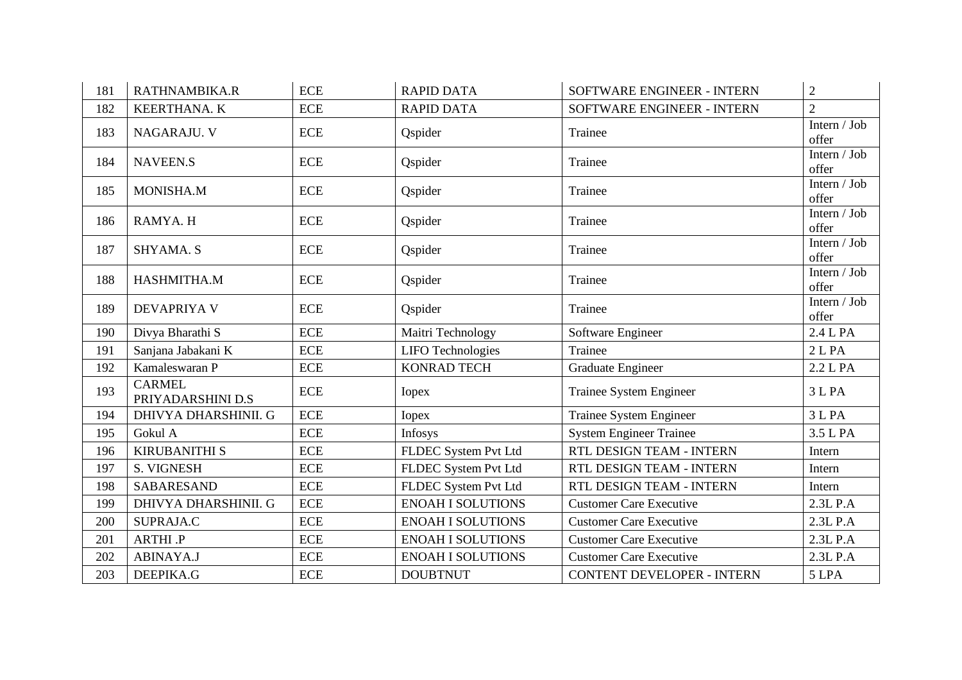| 181 | RATHNAMBIKA.R                      | <b>ECE</b> | <b>RAPID DATA</b>        | SOFTWARE ENGINEER - INTERN        | $\overline{2}$        |
|-----|------------------------------------|------------|--------------------------|-----------------------------------|-----------------------|
| 182 | <b>KEERTHANA. K</b>                | ECE        | <b>RAPID DATA</b>        | SOFTWARE ENGINEER - INTERN        | $\overline{2}$        |
| 183 | NAGARAJU. V                        | <b>ECE</b> | Qspider                  | Trainee                           | Intern / Job<br>offer |
| 184 | NAVEEN.S                           | ECE        | Qspider                  | Trainee                           | Intern / Job<br>offer |
| 185 | MONISHA.M                          | <b>ECE</b> | Qspider                  | Trainee                           | Intern / Job<br>offer |
| 186 | RAMYA. H                           | <b>ECE</b> | Qspider                  | Trainee                           | Intern / Job<br>offer |
| 187 | SHYAMA. S                          | <b>ECE</b> | Qspider                  | Trainee                           | Intern / Job<br>offer |
| 188 | HASHMITHA.M                        | <b>ECE</b> | Qspider                  | Trainee                           | Intern / Job<br>offer |
| 189 | <b>DEVAPRIYA V</b>                 | <b>ECE</b> | Qspider                  | Trainee                           | Intern / Job<br>offer |
| 190 | Divya Bharathi S                   | <b>ECE</b> | Maitri Technology        | Software Engineer                 | 2.4 L PA              |
| 191 | Sanjana Jabakani K                 | <b>ECE</b> | <b>LIFO</b> Technologies | Trainee                           | 2 <sub>L</sub> PA     |
| 192 | Kamaleswaran P                     | <b>ECE</b> | <b>KONRAD TECH</b>       | Graduate Engineer                 | 2.2 L PA              |
| 193 | <b>CARMEL</b><br>PRIYADARSHINI D.S | <b>ECE</b> | <b>I</b> opex            | Trainee System Engineer           | 3 L PA                |
| 194 | DHIVYA DHARSHINII. G               | <b>ECE</b> | <b>Iopex</b>             | Trainee System Engineer           | 3 L PA                |
| 195 | Gokul A                            | <b>ECE</b> | Infosys                  | <b>System Engineer Trainee</b>    | 3.5 L PA              |
| 196 | <b>KIRUBANITHI S</b>               | ECE        | FLDEC System Pvt Ltd     | RTL DESIGN TEAM - INTERN          | Intern                |
| 197 | S. VIGNESH                         | <b>ECE</b> | FLDEC System Pvt Ltd     | RTL DESIGN TEAM - INTERN          | Intern                |
| 198 | <b>SABARESAND</b>                  | <b>ECE</b> | FLDEC System Pvt Ltd     | RTL DESIGN TEAM - INTERN          | Intern                |
| 199 | DHIVYA DHARSHINII. G               | <b>ECE</b> | <b>ENOAH I SOLUTIONS</b> | <b>Customer Care Executive</b>    | 2.3L P.A              |
| 200 | SUPRAJA.C                          | ECE        | <b>ENOAH I SOLUTIONS</b> | <b>Customer Care Executive</b>    | 2.3L P.A              |
| 201 | ARTHI .P                           | <b>ECE</b> | <b>ENOAH I SOLUTIONS</b> | <b>Customer Care Executive</b>    | 2.3L P.A              |
| 202 | ABINAYA.J                          | ECE        | <b>ENOAH I SOLUTIONS</b> | <b>Customer Care Executive</b>    | 2.3L P.A              |
| 203 | DEEPIKA.G                          | ECE        | <b>DOUBTNUT</b>          | <b>CONTENT DEVELOPER - INTERN</b> | 5 LPA                 |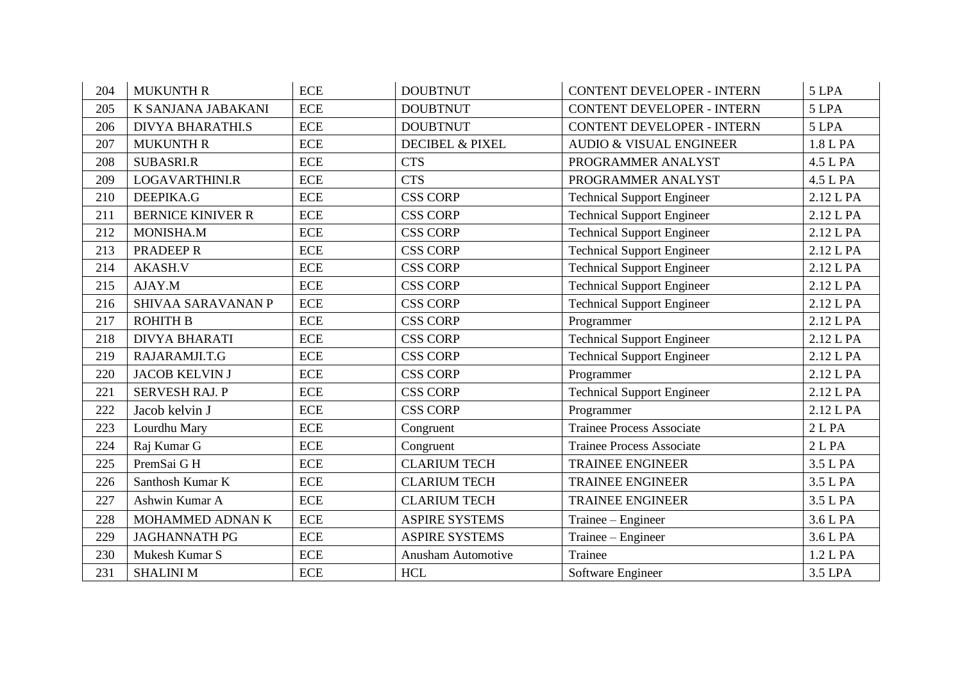| 204 | <b>MUKUNTH R</b>         | <b>ECE</b> | <b>DOUBTNUT</b>            | <b>CONTENT DEVELOPER - INTERN</b>  | 5 LPA             |
|-----|--------------------------|------------|----------------------------|------------------------------------|-------------------|
| 205 | K SANJANA JABAKANI       | <b>ECE</b> | <b>DOUBTNUT</b>            | <b>CONTENT DEVELOPER - INTERN</b>  | 5 LPA             |
| 206 | <b>DIVYA BHARATHI.S</b>  | <b>ECE</b> | <b>DOUBTNUT</b>            | <b>CONTENT DEVELOPER - INTERN</b>  | 5 LPA             |
| 207 | <b>MUKUNTH R</b>         | <b>ECE</b> | <b>DECIBEL &amp; PIXEL</b> | <b>AUDIO &amp; VISUAL ENGINEER</b> | 1.8 L PA          |
| 208 | <b>SUBASRI.R</b>         | <b>ECE</b> | <b>CTS</b>                 | PROGRAMMER ANALYST                 | 4.5 L PA          |
| 209 | LOGAVARTHINI.R           | <b>ECE</b> | <b>CTS</b>                 | PROGRAMMER ANALYST                 | 4.5 L PA          |
| 210 | DEEPIKA.G                | <b>ECE</b> | <b>CSS CORP</b>            | <b>Technical Support Engineer</b>  | 2.12 L PA         |
| 211 | <b>BERNICE KINIVER R</b> | <b>ECE</b> | <b>CSS CORP</b>            | <b>Technical Support Engineer</b>  | 2.12 L PA         |
| 212 | MONISHA.M                | <b>ECE</b> | <b>CSS CORP</b>            | <b>Technical Support Engineer</b>  | 2.12 L PA         |
| 213 | PRADEEP R                | <b>ECE</b> | <b>CSS CORP</b>            | <b>Technical Support Engineer</b>  | 2.12 L PA         |
| 214 | <b>AKASH.V</b>           | <b>ECE</b> | <b>CSS CORP</b>            | <b>Technical Support Engineer</b>  | 2.12 L PA         |
| 215 | AJAY.M                   | <b>ECE</b> | <b>CSS CORP</b>            | <b>Technical Support Engineer</b>  | 2.12 L PA         |
| 216 | SHIVAA SARAVANAN P       | <b>ECE</b> | <b>CSS CORP</b>            | <b>Technical Support Engineer</b>  | 2.12 L PA         |
| 217 | <b>ROHITH B</b>          | <b>ECE</b> | <b>CSS CORP</b>            | Programmer                         | 2.12 L PA         |
| 218 | <b>DIVYA BHARATI</b>     | <b>ECE</b> | <b>CSS CORP</b>            | <b>Technical Support Engineer</b>  | 2.12 L PA         |
| 219 | RAJARAMJI.T.G            | <b>ECE</b> | <b>CSS CORP</b>            | <b>Technical Support Engineer</b>  | 2.12 L PA         |
| 220 | <b>JACOB KELVIN J</b>    | <b>ECE</b> | <b>CSS CORP</b>            | Programmer                         | 2.12 L PA         |
| 221 | <b>SERVESH RAJ. P</b>    | <b>ECE</b> | <b>CSS CORP</b>            | <b>Technical Support Engineer</b>  | 2.12 L PA         |
| 222 | Jacob kelvin J           | <b>ECE</b> | <b>CSS CORP</b>            | Programmer                         | 2.12 L PA         |
| 223 | Lourdhu Mary             | <b>ECE</b> | Congruent                  | <b>Trainee Process Associate</b>   | 2 <sub>L</sub> PA |
| 224 | Raj Kumar G              | <b>ECE</b> | Congruent                  | <b>Trainee Process Associate</b>   | 2 <sub>L</sub> PA |
| 225 | PremSai G H              | <b>ECE</b> | <b>CLARIUM TECH</b>        | <b>TRAINEE ENGINEER</b>            | 3.5 L PA          |
| 226 | Santhosh Kumar K         | <b>ECE</b> | <b>CLARIUM TECH</b>        | <b>TRAINEE ENGINEER</b>            | 3.5 L PA          |
| 227 | Ashwin Kumar A           | <b>ECE</b> | <b>CLARIUM TECH</b>        | <b>TRAINEE ENGINEER</b>            | 3.5 L PA          |
| 228 | MOHAMMED ADNAN K         | <b>ECE</b> | <b>ASPIRE SYSTEMS</b>      | Trainee – Engineer                 | 3.6 L PA          |
| 229 | <b>JAGHANNATH PG</b>     | <b>ECE</b> | <b>ASPIRE SYSTEMS</b>      | Trainee – Engineer                 | 3.6 L PA          |
| 230 | Mukesh Kumar S           | <b>ECE</b> | Anusham Automotive         | Trainee                            | 1.2 L PA          |
| 231 | <b>SHALINI M</b>         | <b>ECE</b> | $\rm HCL$                  | Software Engineer                  | 3.5 LPA           |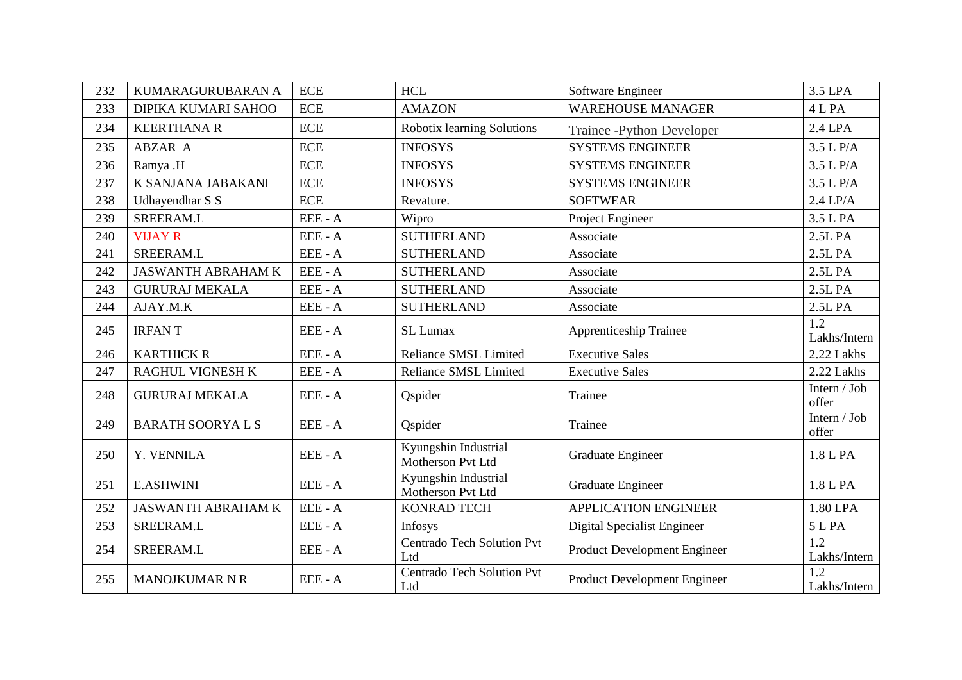| 232 | KUMARAGURUBARAN A         | <b>ECE</b> | <b>HCL</b>                                | Software Engineer                   | 3.5 LPA               |
|-----|---------------------------|------------|-------------------------------------------|-------------------------------------|-----------------------|
| 233 | DIPIKA KUMARI SAHOO       | <b>ECE</b> | <b>AMAZON</b>                             | <b>WAREHOUSE MANAGER</b>            | 4 L PA                |
| 234 | <b>KEERTHANA R</b>        | <b>ECE</b> | Robotix learning Solutions                | Trainee -Python Developer           | 2.4 LPA               |
| 235 | ABZAR A                   | <b>ECE</b> | <b>INFOSYS</b>                            | <b>SYSTEMS ENGINEER</b>             | 3.5 L P/A             |
| 236 | Ramya .H                  | <b>ECE</b> | <b>INFOSYS</b>                            | <b>SYSTEMS ENGINEER</b>             | 3.5 L P/A             |
| 237 | K SANJANA JABAKANI        | <b>ECE</b> | <b>INFOSYS</b>                            | <b>SYSTEMS ENGINEER</b>             | 3.5 L P/A             |
| 238 | Udhayendhar S S           | <b>ECE</b> | Revature.                                 | <b>SOFTWEAR</b>                     | $2.4 \text{ LP/A}$    |
| 239 | SREERAM.L                 | EEE - A    | Wipro                                     | Project Engineer                    | 3.5 L PA              |
| 240 | <b>VIJAY R</b>            | EEE - A    | <b>SUTHERLAND</b>                         | Associate                           | 2.5L PA               |
| 241 | SREERAM.L                 | EEE - A    | <b>SUTHERLAND</b>                         | Associate                           | 2.5L PA               |
| 242 | <b>JASWANTH ABRAHAM K</b> | EEE - A    | <b>SUTHERLAND</b>                         | Associate                           | 2.5L PA               |
| 243 | <b>GURURAJ MEKALA</b>     | EEE - A    | <b>SUTHERLAND</b>                         | Associate                           | 2.5L PA               |
| 244 | AJAY.M.K                  | EEE - A    | <b>SUTHERLAND</b>                         | Associate                           | 2.5L PA               |
| 245 | <b>IRFANT</b>             | EEE - A    | SL Lumax                                  | Apprenticeship Trainee              | 1.2<br>Lakhs/Intern   |
| 246 | <b>KARTHICK R</b>         | EEE - A    | <b>Reliance SMSL Limited</b>              | <b>Executive Sales</b>              | 2.22 Lakhs            |
| 247 | <b>RAGHUL VIGNESH K</b>   | EEE - A    | Reliance SMSL Limited                     | <b>Executive Sales</b>              | 2.22 Lakhs            |
| 248 | <b>GURURAJ MEKALA</b>     | EEE - A    | Qspider                                   | Trainee                             | Intern / Job<br>offer |
| 249 | <b>BARATH SOORYALS</b>    | EEE - A    | Qspider                                   | Trainee                             | Intern / Job<br>offer |
| 250 | Y. VENNILA                | EEE - A    | Kyungshin Industrial<br>Motherson Pvt Ltd | Graduate Engineer                   | 1.8 L PA              |
| 251 | <b>E.ASHWINI</b>          | EEE - A    | Kyungshin Industrial<br>Motherson Pvt Ltd | Graduate Engineer                   | 1.8 L PA              |
| 252 | <b>JASWANTH ABRAHAM K</b> | EEE - A    | <b>KONRAD TECH</b>                        | <b>APPLICATION ENGINEER</b>         | 1.80 LPA              |
| 253 | SREERAM.L                 | EEE - A    | Infosys                                   | Digital Specialist Engineer         | 5 L PA                |
| 254 | SREERAM.L                 | EEE - A    | <b>Centrado Tech Solution Pvt</b><br>Ltd  | Product Development Engineer        | 1.2<br>Lakhs/Intern   |
| 255 | <b>MANOJKUMAR N R</b>     | EEE - A    | <b>Centrado Tech Solution Pvt</b><br>Ltd  | <b>Product Development Engineer</b> | 1.2<br>Lakhs/Intern   |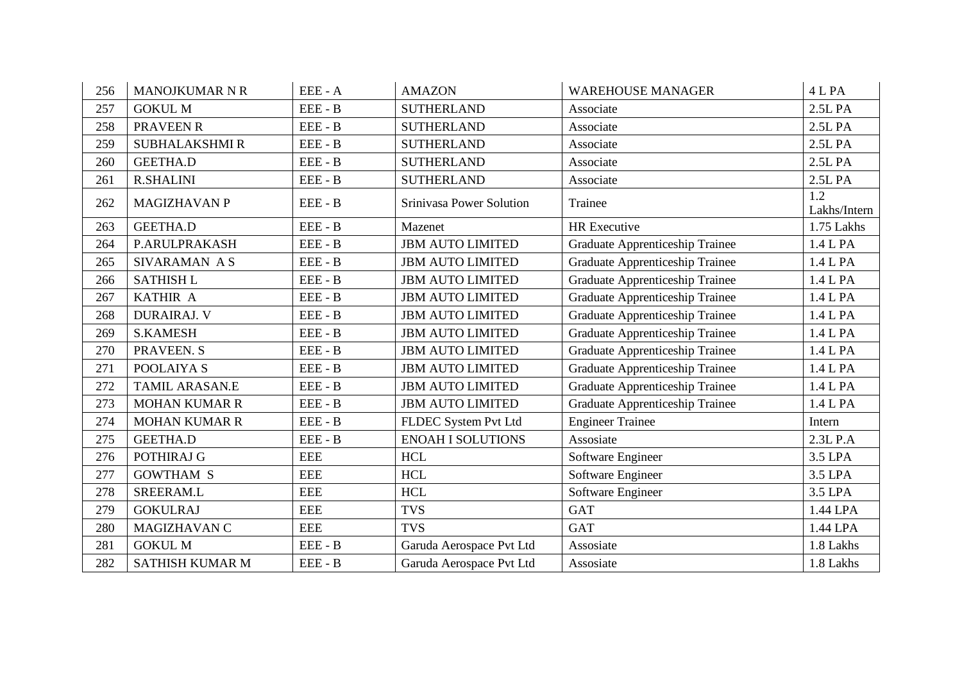| 256 | <b>MANOJKUMAR N R</b> | EEE - A    | <b>AMAZON</b>            | <b>WAREHOUSE MANAGER</b>               | 4 L PA              |
|-----|-----------------------|------------|--------------------------|----------------------------------------|---------------------|
| 257 | <b>GOKUL M</b>        | EEE - B    | <b>SUTHERLAND</b>        | Associate                              | 2.5L PA             |
| 258 | PRAVEEN R             | EEE - B    | <b>SUTHERLAND</b>        | Associate                              | 2.5L PA             |
| 259 | <b>SUBHALAKSHMIR</b>  | EEE - B    | <b>SUTHERLAND</b>        | Associate                              | 2.5L PA             |
| 260 | <b>GEETHA.D</b>       | EEE - B    | <b>SUTHERLAND</b>        | Associate                              | 2.5L PA             |
| 261 | <b>R.SHALINI</b>      | EEE - B    | <b>SUTHERLAND</b>        | Associate                              | 2.5L PA             |
| 262 | <b>MAGIZHAVAN P</b>   | EEE - B    | Srinivasa Power Solution | Trainee                                | 1.2<br>Lakhs/Intern |
| 263 | <b>GEETHA.D</b>       | $EEE - B$  | Mazenet                  | <b>HR</b> Executive                    | 1.75 Lakhs          |
| 264 | P.ARULPRAKASH         | EEE - B    | <b>JBM AUTO LIMITED</b>  | Graduate Apprenticeship Trainee        | 1.4 L PA            |
| 265 | SIVARAMAN A S         | EEE - B    | <b>JBM AUTO LIMITED</b>  | Graduate Apprenticeship Trainee        | 1.4 L PA            |
| 266 | <b>SATHISH L</b>      | EEE - B    | <b>JBM AUTO LIMITED</b>  | <b>Graduate Apprenticeship Trainee</b> | 1.4 L PA            |
| 267 | KATHIR A              | EEE - B    | <b>JBM AUTO LIMITED</b>  | Graduate Apprenticeship Trainee        | 1.4 L PA            |
| 268 | <b>DURAIRAJ. V</b>    | $EEE - B$  | <b>JBM AUTO LIMITED</b>  | Graduate Apprenticeship Trainee        | 1.4 L PA            |
| 269 | <b>S.KAMESH</b>       | EEE - B    | <b>JBM AUTO LIMITED</b>  | <b>Graduate Apprenticeship Trainee</b> | 1.4 L PA            |
| 270 | PRAVEEN. S            | EEE - B    | <b>JBM AUTO LIMITED</b>  | Graduate Apprenticeship Trainee        | 1.4 L PA            |
| 271 | POOLAIYA S            | EEE - B    | <b>JBM AUTO LIMITED</b>  | Graduate Apprenticeship Trainee        | 1.4 L PA            |
| 272 | <b>TAMIL ARASAN.E</b> | $EEE - B$  | <b>JBM AUTO LIMITED</b>  | Graduate Apprenticeship Trainee        | 1.4 L PA            |
| 273 | <b>MOHAN KUMAR R</b>  | EEE - B    | <b>JBM AUTO LIMITED</b>  | Graduate Apprenticeship Trainee        | 1.4 L PA            |
| 274 | <b>MOHAN KUMAR R</b>  | $EEE - B$  | FLDEC System Pvt Ltd     | <b>Engineer Trainee</b>                | Intern              |
| 275 | <b>GEETHA.D</b>       | EEE - B    | <b>ENOAH I SOLUTIONS</b> | Assosiate                              | $2.3L$ P.A          |
| 276 | POTHIRAJ G            | <b>EEE</b> | <b>HCL</b>               | Software Engineer                      | 3.5 LPA             |
| 277 | <b>GOWTHAM S</b>      | <b>EEE</b> | <b>HCL</b>               | Software Engineer                      | 3.5 LPA             |
| 278 | SREERAM.L             | <b>EEE</b> | <b>HCL</b>               | Software Engineer                      | 3.5 LPA             |
| 279 | <b>GOKULRAJ</b>       | <b>EEE</b> | <b>TVS</b>               | <b>GAT</b>                             | 1.44 LPA            |
| 280 | MAGIZHAVAN C          | <b>EEE</b> | <b>TVS</b>               | <b>GAT</b>                             | 1.44 LPA            |
| 281 | <b>GOKUL M</b>        | $EEE - B$  | Garuda Aerospace Pvt Ltd | Assosiate                              | 1.8 Lakhs           |
| 282 | SATHISH KUMAR M       | EEE - B    | Garuda Aerospace Pvt Ltd | Assosiate                              | 1.8 Lakhs           |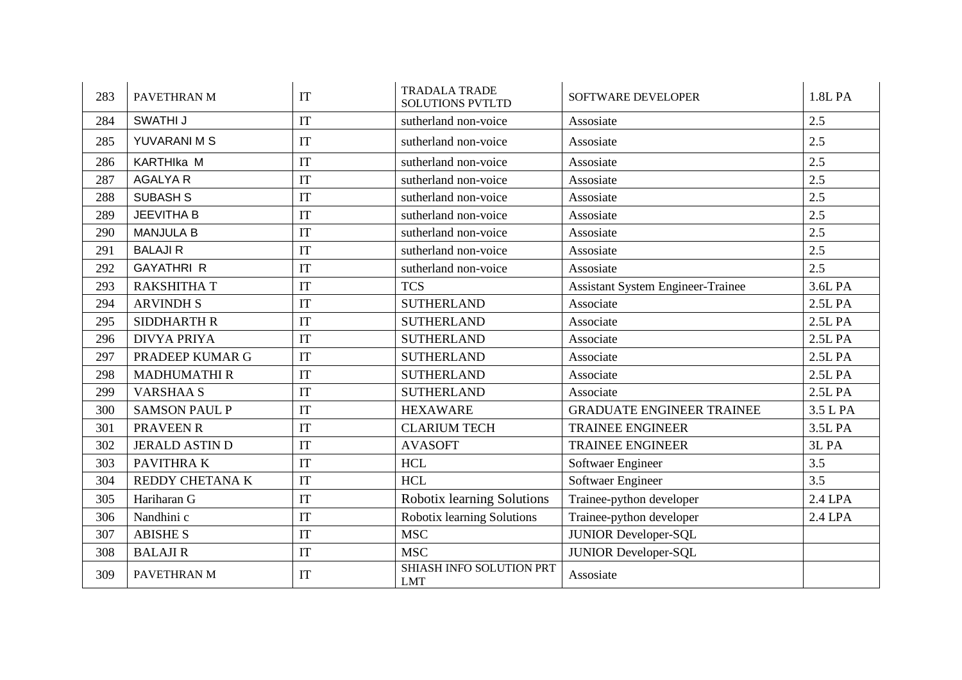| 283 | PAVETHRAN M           | IT | <b>TRADALA TRADE</b><br><b>SOLUTIONS PVTLTD</b> | SOFTWARE DEVELOPER                       | 1.8L PA  |
|-----|-----------------------|----|-------------------------------------------------|------------------------------------------|----------|
| 284 | SWATHI J              | IT | sutherland non-voice                            | Assosiate                                | 2.5      |
| 285 | YUVARANI M S          | IT | sutherland non-voice                            | Assosiate                                | 2.5      |
| 286 | KARTHIka M            | IT | sutherland non-voice                            | Assosiate                                | 2.5      |
| 287 | <b>AGALYA R</b>       | IT | sutherland non-voice                            | Assosiate                                | 2.5      |
| 288 | <b>SUBASH S</b>       | IT | sutherland non-voice                            | Assosiate                                | 2.5      |
| 289 | <b>JEEVITHA B</b>     | IT | sutherland non-voice                            | Assosiate                                | 2.5      |
| 290 | <b>MANJULA B</b>      | IT | sutherland non-voice                            | Assosiate                                | 2.5      |
| 291 | <b>BALAJI R</b>       | IT | sutherland non-voice                            | Assosiate                                | 2.5      |
| 292 | <b>GAYATHRI R</b>     | IT | sutherland non-voice                            | Assosiate                                | 2.5      |
| 293 | <b>RAKSHITHA T</b>    | IT | <b>TCS</b>                                      | <b>Assistant System Engineer-Trainee</b> | 3.6L PA  |
| 294 | <b>ARVINDH S</b>      | IT | <b>SUTHERLAND</b>                               | Associate                                | 2.5L PA  |
| 295 | <b>SIDDHARTH R</b>    | IT | <b>SUTHERLAND</b>                               | Associate                                | 2.5L PA  |
| 296 | <b>DIVYA PRIYA</b>    | IT | <b>SUTHERLAND</b>                               | Associate                                | 2.5L PA  |
| 297 | PRADEEP KUMAR G       | IT | <b>SUTHERLAND</b>                               | Associate                                | 2.5L PA  |
| 298 | <b>MADHUMATHIR</b>    | IT | <b>SUTHERLAND</b>                               | Associate                                | 2.5L PA  |
| 299 | <b>VARSHAA S</b>      | IT | <b>SUTHERLAND</b>                               | Associate                                | 2.5L PA  |
| 300 | <b>SAMSON PAUL P</b>  | IT | <b>HEXAWARE</b>                                 | <b>GRADUATE ENGINEER TRAINEE</b>         | 3.5 L PA |
| 301 | <b>PRAVEEN R</b>      | IT | <b>CLARIUM TECH</b>                             | <b>TRAINEE ENGINEER</b>                  | 3.5L PA  |
| 302 | <b>JERALD ASTIN D</b> | IT | <b>AVASOFT</b>                                  | <b>TRAINEE ENGINEER</b>                  | 3L PA    |
| 303 | PAVITHRA K            | IT | <b>HCL</b>                                      | Softwaer Engineer                        | 3.5      |
| 304 | REDDY CHETANA K       | IT | <b>HCL</b>                                      | Softwaer Engineer                        | 3.5      |
| 305 | Hariharan G           | IT | Robotix learning Solutions                      | Trainee-python developer                 | 2.4 LPA  |
| 306 | Nandhini c            | IT | Robotix learning Solutions                      | Trainee-python developer                 | 2.4 LPA  |
| 307 | <b>ABISHES</b>        | IT | <b>MSC</b>                                      | <b>JUNIOR Developer-SQL</b>              |          |
| 308 | <b>BALAJIR</b>        | IT | <b>MSC</b>                                      | <b>JUNIOR Developer-SQL</b>              |          |
| 309 | PAVETHRAN M           | IT | SHIASH INFO SOLUTION PRT<br><b>LMT</b>          | Assosiate                                |          |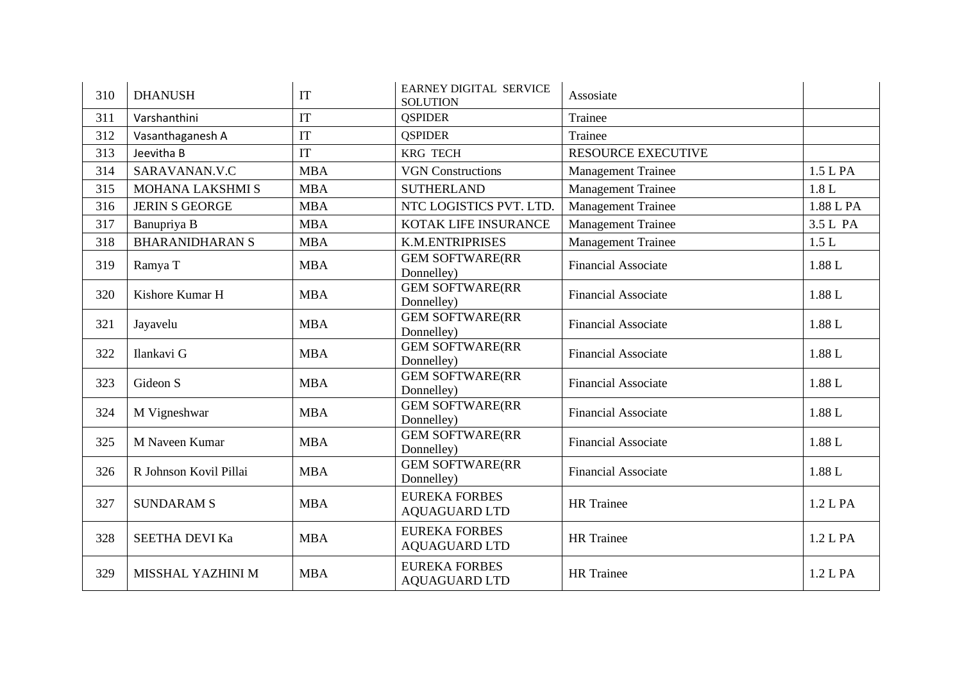| 310 | <b>DHANUSH</b>         | IT         | <b>EARNEY DIGITAL SERVICE</b><br><b>SOLUTION</b> | Assosiate                  |           |
|-----|------------------------|------------|--------------------------------------------------|----------------------------|-----------|
| 311 | Varshanthini           | IT         | <b>OSPIDER</b>                                   | Trainee                    |           |
| 312 | Vasanthaganesh A       | IT         | <b>OSPIDER</b>                                   | Trainee                    |           |
| 313 | Jeevitha B             | IT         | <b>KRG TECH</b>                                  | <b>RESOURCE EXECUTIVE</b>  |           |
| 314 | SARAVANAN.V.C          | <b>MBA</b> | <b>VGN Constructions</b>                         | <b>Management Trainee</b>  | 1.5 L PA  |
| 315 | MOHANA LAKSHMI S       | <b>MBA</b> | <b>SUTHERLAND</b>                                | <b>Management Trainee</b>  | 1.8L      |
| 316 | <b>JERIN S GEORGE</b>  | <b>MBA</b> | NTC LOGISTICS PVT. LTD.                          | <b>Management Trainee</b>  | 1.88 L PA |
| 317 | Banupriya B            | <b>MBA</b> | KOTAK LIFE INSURANCE                             | <b>Management Trainee</b>  | 3.5 L PA  |
| 318 | <b>BHARANIDHARAN S</b> | <b>MBA</b> | <b>K.M.ENTRIPRISES</b>                           | <b>Management Trainee</b>  | 1.5L      |
| 319 | Ramya T                | <b>MBA</b> | <b>GEM SOFTWARE(RR</b><br>Donnelley)             | <b>Financial Associate</b> | 1.88 L    |
| 320 | Kishore Kumar H        | <b>MBA</b> | <b>GEM SOFTWARE(RR</b><br>Donnelley)             | <b>Financial Associate</b> | 1.88 L    |
| 321 | Jayavelu               | <b>MBA</b> | <b>GEM SOFTWARE(RR</b><br>Donnelley)             | <b>Financial Associate</b> | 1.88 L    |
| 322 | Ilankavi G             | <b>MBA</b> | <b>GEM SOFTWARE(RR</b><br>Donnelley)             | <b>Financial Associate</b> | 1.88 L    |
| 323 | Gideon S               | <b>MBA</b> | <b>GEM SOFTWARE(RR</b><br>Donnelley)             | <b>Financial Associate</b> | 1.88 L    |
| 324 | M Vigneshwar           | <b>MBA</b> | <b>GEM SOFTWARE(RR</b><br>Donnelley)             | <b>Financial Associate</b> | 1.88 L    |
| 325 | M Naveen Kumar         | <b>MBA</b> | <b>GEM SOFTWARE(RR</b><br>Donnelley)             | <b>Financial Associate</b> | 1.88 L    |
| 326 | R Johnson Kovil Pillai | <b>MBA</b> | <b>GEM SOFTWARE(RR</b><br>Donnelley)             | <b>Financial Associate</b> | 1.88 L    |
| 327 | <b>SUNDARAM S</b>      | <b>MBA</b> | <b>EUREKA FORBES</b><br><b>AQUAGUARD LTD</b>     | <b>HR</b> Trainee          | 1.2 L PA  |
| 328 | SEETHA DEVI Ka         | <b>MBA</b> | <b>EUREKA FORBES</b><br><b>AQUAGUARD LTD</b>     | <b>HR</b> Trainee          | 1.2 L PA  |
| 329 | MISSHAL YAZHINI M      | <b>MBA</b> | <b>EUREKA FORBES</b><br><b>AQUAGUARD LTD</b>     | <b>HR</b> Trainee          | 1.2 L PA  |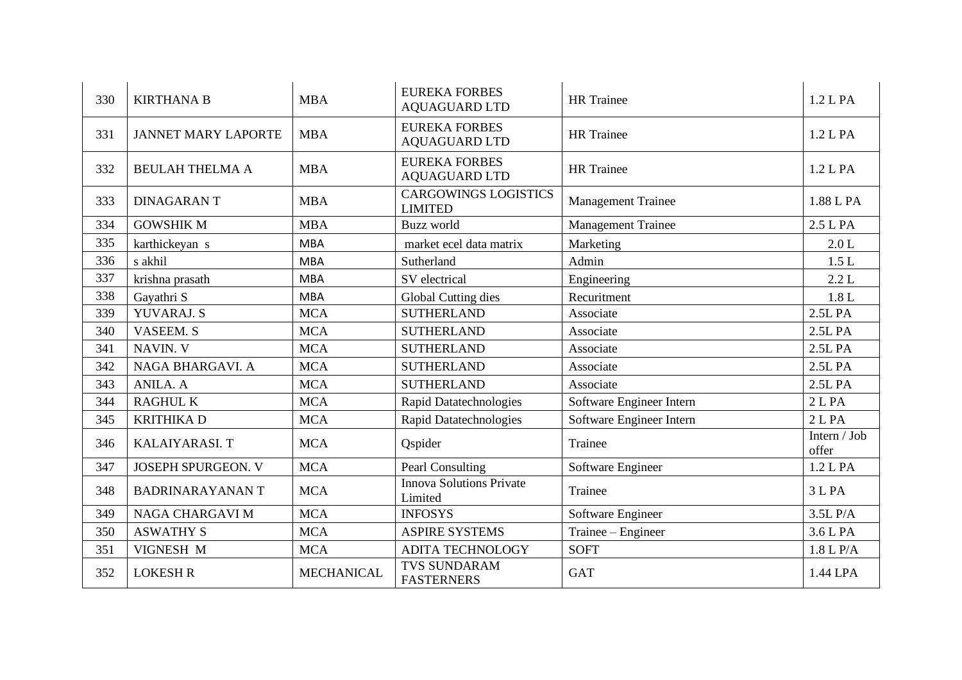| 330 | <b>KIRTHANA B</b>          | <b>MBA</b>        | <b>EUREKA FORBES</b><br><b>AQUAGUARD LTD</b>  | <b>HR</b> Trainee         | 1.2 L PA              |
|-----|----------------------------|-------------------|-----------------------------------------------|---------------------------|-----------------------|
| 331 | <b>JANNET MARY LAPORTE</b> | <b>MBA</b>        | <b>EUREKA FORBES</b><br><b>AQUAGUARD LTD</b>  | <b>HR</b> Trainee         | 1.2 L PA              |
| 332 | <b>BEULAH THELMA A</b>     | <b>MBA</b>        | <b>EUREKA FORBES</b><br><b>AQUAGUARD LTD</b>  | <b>HR</b> Trainee         | 1.2 LPA               |
| 333 | <b>DINAGARANT</b>          | <b>MBA</b>        | <b>CARGOWINGS LOGISTICS</b><br><b>LIMITED</b> | <b>Management Trainee</b> | 1.88 L PA             |
| 334 | <b>GOWSHIK M</b>           | <b>MBA</b>        | Buzz world                                    | <b>Management Trainee</b> | 2.5 L PA              |
| 335 | karthickeyan s             | <b>MBA</b>        | market ecel data matrix                       | Marketing                 | 2.0 L                 |
| 336 | s akhil                    | <b>MBA</b>        | Sutherland                                    | Admin                     | 1.5L                  |
| 337 | krishna prasath            | <b>MBA</b>        | SV electrical                                 | Engineering               | 2.2 L                 |
| 338 | Gayathri S                 | <b>MBA</b>        | Global Cutting dies                           | Recuritment               | $1.8 L$               |
| 339 | YUVARAJ. S                 | <b>MCA</b>        | <b>SUTHERLAND</b>                             | Associate                 | 2.5L PA               |
| 340 | <b>VASEEM. S</b>           | <b>MCA</b>        | <b>SUTHERLAND</b>                             | Associate                 | 2.5L PA               |
| 341 | NAVIN. V                   | <b>MCA</b>        | <b>SUTHERLAND</b>                             | Associate                 | 2.5L PA               |
| 342 | NAGA BHARGAVI. A           | <b>MCA</b>        | <b>SUTHERLAND</b>                             | Associate                 | 2.5L PA               |
| 343 | ANILA. A                   | <b>MCA</b>        | <b>SUTHERLAND</b>                             | Associate                 | 2.5L PA               |
| 344 | <b>RAGHUL K</b>            | <b>MCA</b>        | <b>Rapid Datatechnologies</b>                 | Software Engineer Intern  | 2 L PA                |
| 345 | <b>KRITHIKAD</b>           | <b>MCA</b>        | <b>Rapid Datatechnologies</b>                 | Software Engineer Intern  | 2 <sub>L</sub> PA     |
| 346 | <b>KALAIYARASI. T</b>      | <b>MCA</b>        | Qspider                                       | Trainee                   | Intern / Job<br>offer |
| 347 | <b>JOSEPH SPURGEON. V</b>  | <b>MCA</b>        | Pearl Consulting                              | Software Engineer         | 1.2 L PA              |
| 348 | <b>BADRINARAYANANT</b>     | <b>MCA</b>        | <b>Innova Solutions Private</b><br>Limited    | Trainee                   | 3 L PA                |
| 349 | <b>NAGA CHARGAVI M</b>     | <b>MCA</b>        | <b>INFOSYS</b>                                | Software Engineer         | 3.5L P/A              |
| 350 | <b>ASWATHY S</b>           | <b>MCA</b>        | <b>ASPIRE SYSTEMS</b>                         | Trainee – Engineer        | 3.6 L PA              |
| 351 | VIGNESH M                  | <b>MCA</b>        | <b>ADITA TECHNOLOGY</b>                       | <b>SOFT</b>               | 1.8 L P/A             |
| 352 | <b>LOKESH R</b>            | <b>MECHANICAL</b> | <b>TVS SUNDARAM</b><br><b>FASTERNERS</b>      | <b>GAT</b>                | 1.44 LPA              |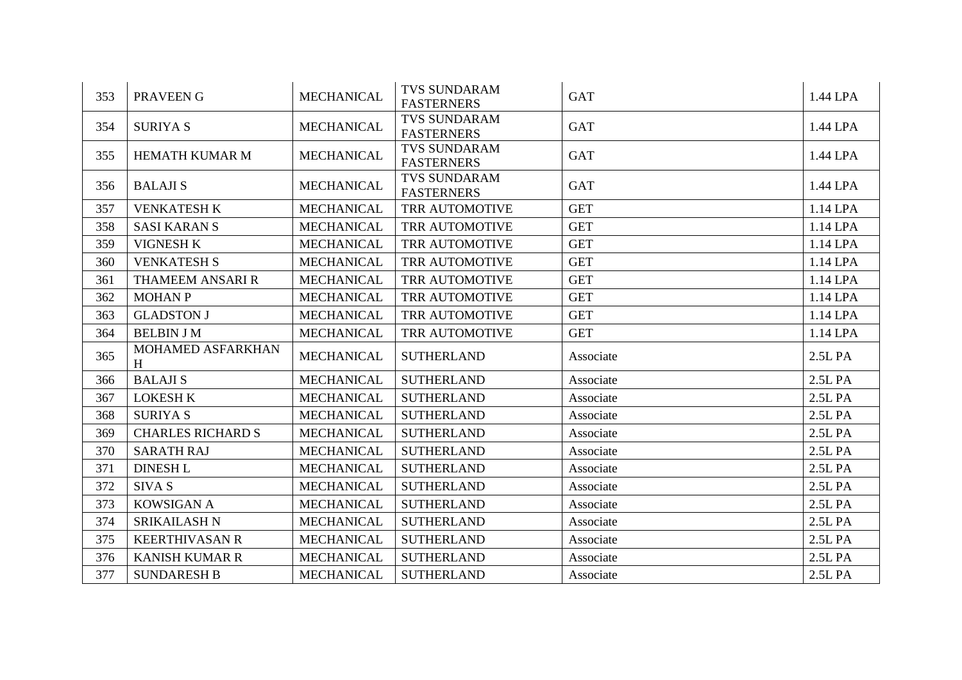| 353 | PRAVEEN G                | <b>MECHANICAL</b> | <b>TVS SUNDARAM</b><br><b>FASTERNERS</b> | <b>GAT</b> | 1.44 LPA |
|-----|--------------------------|-------------------|------------------------------------------|------------|----------|
| 354 | <b>SURIYA S</b>          | <b>MECHANICAL</b> | <b>TVS SUNDARAM</b><br><b>FASTERNERS</b> | <b>GAT</b> | 1.44 LPA |
| 355 | <b>HEMATH KUMAR M</b>    | <b>MECHANICAL</b> | <b>TVS SUNDARAM</b><br><b>FASTERNERS</b> | <b>GAT</b> | 1.44 LPA |
| 356 | <b>BALAJIS</b>           | <b>MECHANICAL</b> | <b>TVS SUNDARAM</b><br><b>FASTERNERS</b> | <b>GAT</b> | 1.44 LPA |
| 357 | <b>VENKATESH K</b>       | <b>MECHANICAL</b> | TRR AUTOMOTIVE                           | <b>GET</b> | 1.14 LPA |
| 358 | <b>SASI KARAN S</b>      | <b>MECHANICAL</b> | TRR AUTOMOTIVE                           | <b>GET</b> | 1.14 LPA |
| 359 | <b>VIGNESH K</b>         | <b>MECHANICAL</b> | <b>TRR AUTOMOTIVE</b>                    | <b>GET</b> | 1.14 LPA |
| 360 | <b>VENKATESH S</b>       | <b>MECHANICAL</b> | TRR AUTOMOTIVE                           | <b>GET</b> | 1.14 LPA |
| 361 | THAMEEM ANSARI R         | <b>MECHANICAL</b> | TRR AUTOMOTIVE                           | <b>GET</b> | 1.14 LPA |
| 362 | <b>MOHAN P</b>           | <b>MECHANICAL</b> | TRR AUTOMOTIVE                           | <b>GET</b> | 1.14 LPA |
| 363 | <b>GLADSTON J</b>        | <b>MECHANICAL</b> | TRR AUTOMOTIVE                           | <b>GET</b> | 1.14 LPA |
| 364 | <b>BELBIN J M</b>        | <b>MECHANICAL</b> | TRR AUTOMOTIVE                           | <b>GET</b> | 1.14 LPA |
| 365 | MOHAMED ASFARKHAN<br>H   | <b>MECHANICAL</b> | <b>SUTHERLAND</b>                        | Associate  | 2.5L PA  |
| 366 | <b>BALAJIS</b>           | <b>MECHANICAL</b> | <b>SUTHERLAND</b>                        | Associate  | 2.5L PA  |
| 367 | <b>LOKESH K</b>          | <b>MECHANICAL</b> | <b>SUTHERLAND</b>                        | Associate  | 2.5L PA  |
| 368 | <b>SURIYA S</b>          | <b>MECHANICAL</b> | <b>SUTHERLAND</b>                        | Associate  | 2.5L PA  |
| 369 | <b>CHARLES RICHARD S</b> | <b>MECHANICAL</b> | <b>SUTHERLAND</b>                        | Associate  | 2.5L PA  |
| 370 | <b>SARATH RAJ</b>        | <b>MECHANICAL</b> | <b>SUTHERLAND</b>                        | Associate  | 2.5L PA  |
| 371 | <b>DINESH L</b>          | <b>MECHANICAL</b> | <b>SUTHERLAND</b>                        | Associate  | 2.5L PA  |
| 372 | SIVA S                   | <b>MECHANICAL</b> | <b>SUTHERLAND</b>                        | Associate  | 2.5L PA  |
| 373 | <b>KOWSIGAN A</b>        | <b>MECHANICAL</b> | <b>SUTHERLAND</b>                        | Associate  | 2.5L PA  |
| 374 | <b>SRIKAILASH N</b>      | <b>MECHANICAL</b> | <b>SUTHERLAND</b>                        | Associate  | 2.5L PA  |
| 375 | <b>KEERTHIVASAN R</b>    | <b>MECHANICAL</b> | <b>SUTHERLAND</b>                        | Associate  | 2.5L PA  |
| 376 | <b>KANISH KUMAR R</b>    | <b>MECHANICAL</b> | <b>SUTHERLAND</b>                        | Associate  | 2.5L PA  |
| 377 | <b>SUNDARESH B</b>       | <b>MECHANICAL</b> | <b>SUTHERLAND</b>                        | Associate  | 2.5L PA  |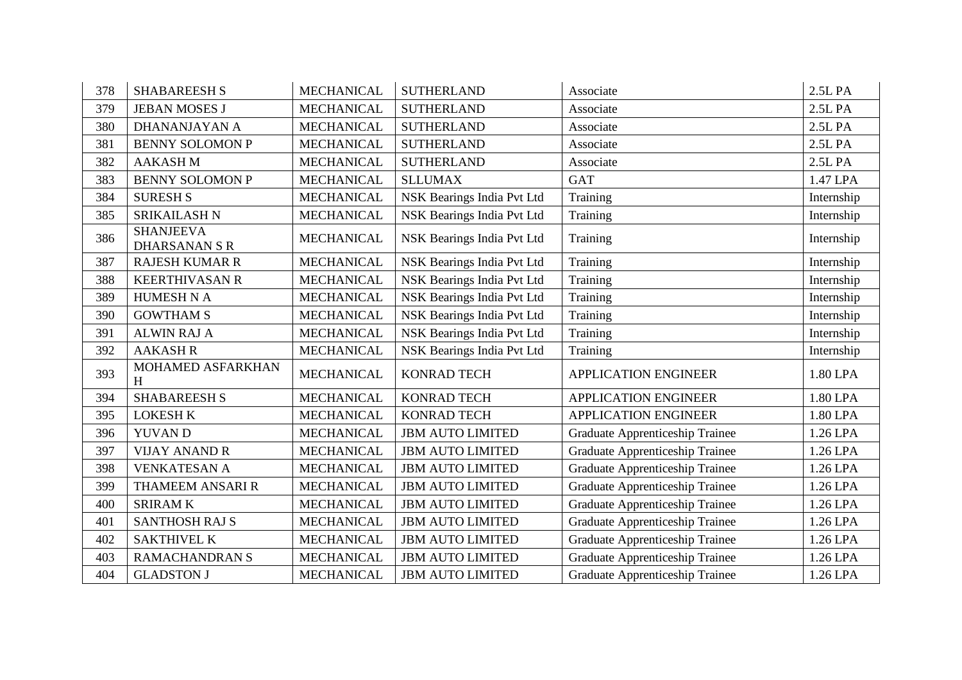| 378 | <b>SHABAREESH S</b>                      | <b>MECHANICAL</b> | <b>SUTHERLAND</b>          | Associate                       | 2.5L PA    |
|-----|------------------------------------------|-------------------|----------------------------|---------------------------------|------------|
| 379 | <b>JEBAN MOSES J</b>                     | <b>MECHANICAL</b> | <b>SUTHERLAND</b>          | Associate                       | 2.5L PA    |
| 380 | DHANANJAYAN A                            | <b>MECHANICAL</b> | <b>SUTHERLAND</b>          | Associate                       | 2.5L PA    |
| 381 | <b>BENNY SOLOMON P</b>                   | <b>MECHANICAL</b> | <b>SUTHERLAND</b>          | Associate                       | 2.5L PA    |
| 382 | <b>AAKASH M</b>                          | <b>MECHANICAL</b> | <b>SUTHERLAND</b>          | Associate                       | 2.5L PA    |
| 383 | <b>BENNY SOLOMON P</b>                   | <b>MECHANICAL</b> | <b>SLLUMAX</b>             | <b>GAT</b>                      | 1.47 LPA   |
| 384 | <b>SURESH S</b>                          | <b>MECHANICAL</b> | NSK Bearings India Pvt Ltd | Training                        | Internship |
| 385 | <b>SRIKAILASH N</b>                      | <b>MECHANICAL</b> | NSK Bearings India Pvt Ltd | Training                        | Internship |
| 386 | <b>SHANJEEVA</b><br><b>DHARSANAN S R</b> | <b>MECHANICAL</b> | NSK Bearings India Pvt Ltd | Training                        | Internship |
| 387 | <b>RAJESH KUMAR R</b>                    | <b>MECHANICAL</b> | NSK Bearings India Pvt Ltd | Training                        | Internship |
| 388 | <b>KEERTHIVASAN R</b>                    | <b>MECHANICAL</b> | NSK Bearings India Pvt Ltd | Training                        | Internship |
| 389 | <b>HUMESH N A</b>                        | <b>MECHANICAL</b> | NSK Bearings India Pvt Ltd | Training                        | Internship |
| 390 | <b>GOWTHAM S</b>                         | <b>MECHANICAL</b> | NSK Bearings India Pvt Ltd | Training                        | Internship |
| 391 | <b>ALWIN RAJ A</b>                       | <b>MECHANICAL</b> | NSK Bearings India Pvt Ltd | Training                        | Internship |
| 392 | <b>AAKASH R</b>                          | <b>MECHANICAL</b> | NSK Bearings India Pvt Ltd | Training                        | Internship |
| 393 | MOHAMED ASFARKHAN<br>H                   | <b>MECHANICAL</b> | <b>KONRAD TECH</b>         | <b>APPLICATION ENGINEER</b>     | 1.80 LPA   |
| 394 | <b>SHABAREESH S</b>                      | <b>MECHANICAL</b> | <b>KONRAD TECH</b>         | <b>APPLICATION ENGINEER</b>     | 1.80 LPA   |
| 395 | <b>LOKESH K</b>                          | <b>MECHANICAL</b> | <b>KONRAD TECH</b>         | <b>APPLICATION ENGINEER</b>     | 1.80 LPA   |
| 396 | <b>YUVAN D</b>                           | <b>MECHANICAL</b> | <b>JBM AUTO LIMITED</b>    | Graduate Apprenticeship Trainee | 1.26 LPA   |
| 397 | <b>VIJAY ANAND R</b>                     | <b>MECHANICAL</b> | <b>JBM AUTO LIMITED</b>    | Graduate Apprenticeship Trainee | 1.26 LPA   |
| 398 | <b>VENKATESAN A</b>                      | <b>MECHANICAL</b> | <b>JBM AUTO LIMITED</b>    | Graduate Apprenticeship Trainee | 1.26 LPA   |
| 399 | THAMEEM ANSARI R                         | <b>MECHANICAL</b> | <b>JBM AUTO LIMITED</b>    | Graduate Apprenticeship Trainee | 1.26 LPA   |
| 400 | <b>SRIRAMK</b>                           | <b>MECHANICAL</b> | <b>JBM AUTO LIMITED</b>    | Graduate Apprenticeship Trainee | 1.26 LPA   |
| 401 | <b>SANTHOSH RAJ S</b>                    | <b>MECHANICAL</b> | <b>JBM AUTO LIMITED</b>    | Graduate Apprenticeship Trainee | 1.26 LPA   |
| 402 | <b>SAKTHIVEL K</b>                       | <b>MECHANICAL</b> | <b>JBM AUTO LIMITED</b>    | Graduate Apprenticeship Trainee | 1.26 LPA   |
| 403 | <b>RAMACHANDRAN S</b>                    | <b>MECHANICAL</b> | <b>JBM AUTO LIMITED</b>    | Graduate Apprenticeship Trainee | 1.26 LPA   |
| 404 | <b>GLADSTON J</b>                        | <b>MECHANICAL</b> | <b>JBM AUTO LIMITED</b>    | Graduate Apprenticeship Trainee | 1.26 LPA   |